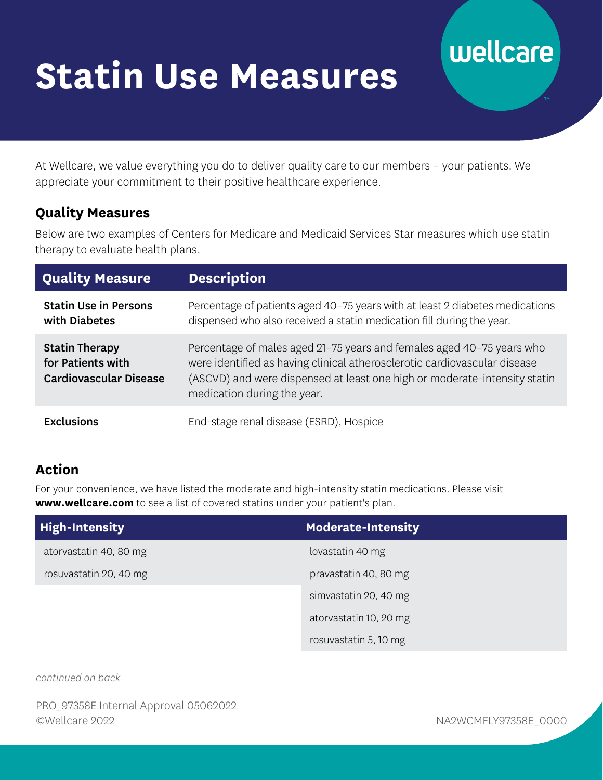# **Statin Use Measures**

#### At Wellcare, we value everything you do to deliver quality care to our members – your patients. We appreciate your commitment to their positive healthcare experience.

#### **Quality Measures**

Below are two examples of Centers for Medicare and Medicaid Services Star measures which use statin therapy to evaluate health plans.

| <b>Quality Measure</b>                                                      | <b>Description</b>                                                                                                                                                                                                                                             |
|-----------------------------------------------------------------------------|----------------------------------------------------------------------------------------------------------------------------------------------------------------------------------------------------------------------------------------------------------------|
| <b>Statin Use in Persons</b><br>with Diabetes                               | Percentage of patients aged 40-75 years with at least 2 diabetes medications<br>dispensed who also received a statin medication fill during the year.                                                                                                          |
| <b>Statin Therapy</b><br>for Patients with<br><b>Cardiovascular Disease</b> | Percentage of males aged 21-75 years and females aged 40-75 years who<br>were identified as having clinical atherosclerotic cardiovascular disease<br>(ASCVD) and were dispensed at least one high or moderate-intensity statin<br>medication during the year. |
| <b>Exclusions</b>                                                           | End-stage renal disease (ESRD), Hospice                                                                                                                                                                                                                        |

### **Action**

For your convenience, we have listed the moderate and high-intensity statin medications. Please visit **[www.wellcare.com](https://www.wellcare.com)** to see a list of covered statins under your patient's plan.

| <b>High-Intensity</b>  | <b>Moderate-Intensity</b> |
|------------------------|---------------------------|
| atorvastatin 40, 80 mg | lovastatin 40 mg          |
| rosuvastatin 20, 40 mg | pravastatin 40, 80 mg     |
|                        | simvastatin 20, 40 mg     |
|                        | atorvastatin 10, 20 mg    |
|                        | rosuvastatin 5, 10 mg     |

*continued on back* 

PRO\_97358E Internal Approval 05062022 ©Wellcare 2022 NA2WCMFLY97358E\_0000

wellcare